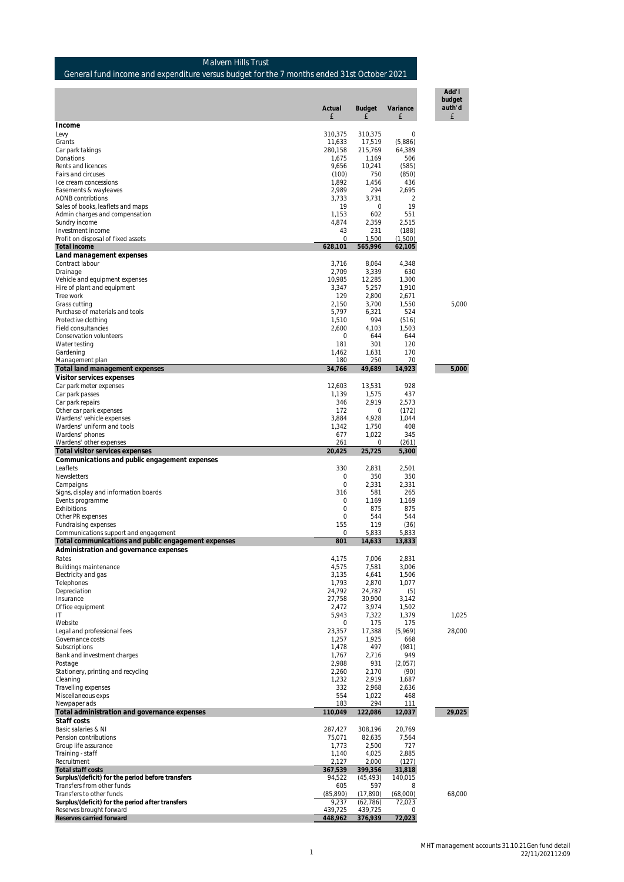| Donations                                           | 1,675             | 1,169             | 506             |        |
|-----------------------------------------------------|-------------------|-------------------|-----------------|--------|
| Rents and licences                                  | 9,656             | 10,241            | (585)           |        |
|                                                     |                   |                   |                 |        |
| Fairs and circuses                                  | (100)             | 750               | (850)           |        |
| Ice cream concessions                               | 1,892             | 1,456             | 436             |        |
| Easements & wayleaves                               | 2.989             | 294               | 2.695           |        |
| AONB contribtions                                   | 3,733             | 3,731             | $\overline{2}$  |        |
|                                                     | 19                | 0                 | 19              |        |
| Sales of books, leaflets and maps                   |                   |                   |                 |        |
| Admin charges and compensation                      | 1,153             | 602               | 551             |        |
| Sundry income                                       | 4,874             | 2,359             | 2,515           |        |
| Investment income                                   | 43                | 231               | (188)           |        |
| Profit on disposal of fixed assets                  | $\Omega$          | 1,500             |                 |        |
|                                                     |                   |                   | (1,500)         |        |
| Total income                                        | 628,101           | 565,996           | 62,105          |        |
| Land management expenses                            |                   |                   |                 |        |
| Contract labour                                     | 3,716             | 8,064             | 4,348           |        |
|                                                     |                   |                   |                 |        |
| Drainage                                            | 2,709             | 3,339             | 630             |        |
| Vehicle and equipment expenses                      | 10,985            | 12,285            | 1,300           |        |
| Hire of plant and equipment                         | 3,347             | 5,257             | 1,910           |        |
| Tree work                                           | 129               | 2,800             | 2,671           |        |
|                                                     |                   |                   |                 |        |
| Grass cutting                                       | 2,150             | 3,700             | 1,550           | 5,000  |
| Purchase of materials and tools                     | 5,797             | 6,321             | 524             |        |
| Protective clothing                                 | 1,510             | 994               | (516)           |        |
| Field consultancies                                 | 2,600             | 4,103             | 1,503           |        |
| Conservation volunteers                             | 0                 | 644               | 644             |        |
|                                                     |                   |                   |                 |        |
| Water testing                                       | 181               | 301               | 120             |        |
| Gardening                                           | 1,462             | 1,631             | 170             |        |
| Management plan                                     | 180               | 250               | 70              |        |
|                                                     |                   |                   |                 |        |
| Total land management expenses                      | 34,766            | 49,689            | 14,923          | 5,000  |
| Visitor services expenses                           |                   |                   |                 |        |
| Car park meter expenses                             | 12,603            | 13,531            | 928             |        |
| Car park passes                                     | 1,139             | 1,575             | 437             |        |
|                                                     |                   |                   |                 |        |
| Car park repairs                                    | 346               | 2,919             | 2,573           |        |
| Other car park expenses                             | 172               | 0                 | (172)           |        |
| Wardens' vehicle expenses                           | 3,884             | 4,928             | 1,044           |        |
| Wardens' uniform and tools                          | 1,342             | 1.750             | 408             |        |
|                                                     |                   |                   |                 |        |
| Wardens' phones                                     | 677               | 1,022             | 345             |        |
| Wardens' other expenses                             | 261               | 0                 | (261)           |        |
| Total visitor services expenses                     | 20,425            | 25,725            | 5,300           |        |
|                                                     |                   |                   |                 |        |
|                                                     |                   |                   |                 |        |
| Communications and public engagement expenses       |                   |                   |                 |        |
| Leaflets                                            | 330               | 2,831             | 2,501           |        |
| Newsletters                                         | 0                 | 350               | 350             |        |
|                                                     |                   |                   |                 |        |
| Campaigns                                           | 0                 | 2,331             | 2,331           |        |
| Signs, display and information boards               | 316               | 581               | 265             |        |
| Events programme                                    | 0                 | 1,169             | 1,169           |        |
| Exhibitions                                         | $\mathbf{0}$      | 875               | 875             |        |
|                                                     |                   |                   |                 |        |
| Other PR expenses                                   | 0                 | 544               | 544             |        |
| Fundraising expenses                                | 155               | 119               | (36)            |        |
| Communications support and engagement               | 0                 | 5,833             | 5,833           |        |
|                                                     |                   |                   |                 |        |
| Total communications and public engagement expenses | 801               | 14,633            | 13,833          |        |
| Administration and governance expenses              |                   |                   |                 |        |
| Rates                                               | 4,175             | 7,006             | 2,831           |        |
| Buildings maintenance                               | 4,575             | 7,581             | 3,006           |        |
|                                                     |                   |                   |                 |        |
| Electricity and gas                                 | 3,135             | 4,641             | 1,506           |        |
| Telephones                                          | 1,793             | 2,870             | 1,077           |        |
| Depreciation                                        | 24,792            | 24,787            | (5)             |        |
| Insurance                                           | 27,758            | 30,900            | 3,142           |        |
|                                                     |                   |                   |                 |        |
| Office equipment                                    | 2,472             | 3,974             | 1,502           |        |
| ΙT                                                  | 5,943             | 7,322             | 1,379           | 1,025  |
| Website                                             | 0                 | 175               | 175             |        |
| Legal and professional fees                         | 23,357            | 17,388            | (5,969)         | 28,000 |
| Governance costs                                    |                   |                   |                 |        |
|                                                     | 1,257             | 1,925             | 668             |        |
| Subscriptions                                       | 1,478             | 497               | (981)           |        |
| Bank and investment charges                         | 1,767             | 2,716             | 949             |        |
| Postage                                             | 2,988             | 931               | (2,057)         |        |
|                                                     |                   |                   |                 |        |
| Stationery, printing and recycling                  | 2,260             | 2,170             | (90)            |        |
| Cleaning                                            | 1,232             | 2,919             | 1,687           |        |
| Travelling expenses                                 | 332               | 2,968             | 2,636           |        |
| Miscellaneous exps                                  | 554               | 1,022             | 468             |        |
|                                                     |                   |                   |                 |        |
| Newpaper ads                                        | 183               | 294               | 111             |        |
| Total administration and governance expenses        | 110,049           | 122,086           | 12,037          | 29.025 |
| Staff costs                                         |                   |                   |                 |        |
|                                                     |                   |                   |                 |        |
| Basic salaries & NI<br>Pension contributions        | 287,427<br>75,071 | 308,196<br>82,635 | 20,769<br>7,564 |        |

Group life assurance 1,773 2,500 727 Training - staff 1,140 4,025 2,885

Recruitment<br>
Transfer costs<br>
Surplus/(deficit) for the period before transfers<br>
Transfers from other funds<br>
Transfers from other funds<br>
Transfers from other funds<br>
Transfers to other funds<br>
Surplus/(deficit) for the period

#### Malvern Hills Trust General fund income and expenditure versus budget for the 7 months ended 31st October 2021

Levy 310,375 310,375 0 Grants 11,633 17,519 (5,886) Car park takings 280,158 215,769 64,389

**Income**

**Actual Budget Variance**

£ £ £ £

**Add'l budget auth'd**

MHT management accounts 31.10.21Gen fund detail 22/11/202112:09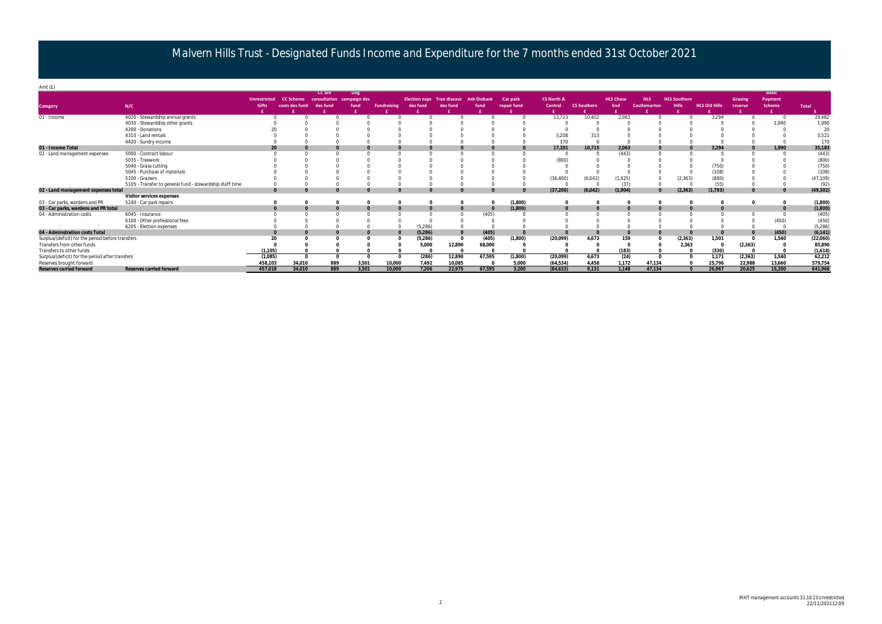### Malvern Hills Trust - Designated Funds Income and Expenditure for the 7 months ended 31st October 2021

| Amt $(f)$                                         |                                                          |                     |                  |               |                           |                    |                                   |          |                    |             |            |                    |                  |                     |                     |                      |                |              |              |
|---------------------------------------------------|----------------------------------------------------------|---------------------|------------------|---------------|---------------------------|--------------------|-----------------------------------|----------|--------------------|-------------|------------|--------------------|------------------|---------------------|---------------------|----------------------|----------------|--------------|--------------|
|                                                   |                                                          |                     |                  | <b>CC Sch</b> | Dog                       |                    |                                   |          |                    |             |            |                    |                  |                     |                     |                      |                | <b>Basic</b> |              |
|                                                   |                                                          | <b>Unrestricted</b> | <b>CC Scheme</b> |               | consultation campaign des |                    | <b>Election exps</b> Tree disease |          | <b>Ash Dieback</b> | Car park    | CS North & |                    | <b>HLS Chase</b> | <b>HLS</b>          | <b>HLS Southern</b> |                      | <b>Grazing</b> | Payment      |              |
| <b>Category</b>                                   | N/C                                                      | <b>Gifts</b>        | costs des fund   | des fund      | fund                      | <b>Fundraising</b> | des fund                          | des fund | fund               | repair fund | Central    | <b>CS Southern</b> | End              | <b>Castlemorton</b> |                     | <b>HLS Old Hills</b> | reserve        | Scheme       | <b>Total</b> |
|                                                   |                                                          |                     |                  |               |                           |                    |                                   |          |                    |             |            |                    |                  |                     |                     |                      |                |              |              |
| 01 - Income                                       | 4020 - Stewardship annual grants                         |                     |                  |               | $\cap$                    |                    |                                   |          |                    |             | 13,723     | 10,402             | 2,063            |                     |                     | 3.294                |                |              | 29,482       |
|                                                   | 4030 - Stewardship other grants                          |                     |                  |               |                           |                    |                                   |          |                    |             |            |                    |                  |                     |                     |                      |                | 1,990        | 1,990        |
|                                                   | 4200 - Donations                                         |                     |                  |               |                           |                    |                                   |          |                    |             |            |                    |                  |                     |                     |                      |                |              | 20           |
|                                                   | 4310 - Land rentals                                      |                     |                  |               |                           |                    |                                   |          |                    |             | 3,208      | 313                |                  |                     |                     |                      |                |              | 3,521        |
|                                                   | 4420 - Sundry income                                     |                     |                  |               |                           |                    |                                   |          |                    |             | 170        |                    |                  |                     |                     |                      |                |              | 170          |
| 01 - Income Total                                 |                                                          |                     |                  |               |                           |                    |                                   |          |                    |             | 17,101     | 10,715             | 2,063            |                     |                     | 3,294                |                | 1,990        | 35,183       |
| 02 - Land management expenses                     | 5000 - Contract labour                                   |                     |                  |               |                           |                    |                                   |          |                    |             |            |                    | (443)            |                     |                     |                      |                |              | (443)        |
|                                                   | 5035 - Treework                                          |                     |                  |               |                           |                    |                                   |          |                    |             | (800)      |                    |                  |                     |                     |                      |                |              | (800)        |
|                                                   | 5040 - Grass cutting                                     |                     |                  |               |                           |                    |                                   |          |                    |             |            |                    |                  |                     |                     | (750)                |                |              | (750)        |
|                                                   | 5045 - Purchase of materials                             |                     |                  |               |                           |                    |                                   |          |                    |             |            |                    |                  |                     |                     | (108)                |                |              | (108)        |
|                                                   | 5100 - Graziers                                          |                     |                  |               |                           |                    |                                   |          |                    |             | (36, 400)  | (6,042)            | (1, 425)         |                     | (2, 363)            | (880)                |                |              | (47, 109)    |
|                                                   | 5105 - Transfer to general fund - stewardship staff time |                     |                  |               |                           |                    |                                   |          |                    |             |            |                    | (37)             |                     |                     | (55)                 |                |              | (92)         |
| 02 - Land management expenses total               |                                                          |                     |                  |               |                           |                    |                                   |          |                    |             | (37,200)   | (6,042)            | (1,904)          | $\Omega$            | (2,363)             | (1, 793)             |                | $\Omega$     | (49,302)     |
|                                                   | Visitor services expenses                                |                     |                  |               |                           |                    |                                   |          |                    |             |            |                    |                  |                     |                     |                      |                |              |              |
| 03 - Car parks, wardens and PR                    | 5240 - Car park repairs                                  |                     |                  |               | $\Omega$                  |                    |                                   |          |                    | (1,800)     |            |                    |                  |                     |                     |                      |                |              | (1,800)      |
| 03 - Car parks, wardens and PR total              |                                                          |                     |                  |               |                           |                    |                                   |          |                    | (1,800)     |            |                    |                  |                     |                     |                      |                |              | (1,800)      |
| 04 - Administration costs                         | 6045 - Insurance                                         |                     |                  |               |                           |                    |                                   |          | (405)              |             |            |                    |                  |                     |                     |                      |                |              | (405)        |
|                                                   | 6100 - Other professional fees                           |                     |                  |               |                           |                    |                                   |          |                    |             |            |                    |                  |                     |                     |                      |                | (450)        | (450)        |
|                                                   | 6205 - Election expenses                                 |                     |                  |               |                           |                    | (5, 286)                          |          |                    |             |            |                    |                  |                     |                     |                      |                |              | (5,286)      |
| 04 - Adminstration costs Total                    |                                                          |                     |                  |               |                           |                    | (5,286)                           |          | (405)              |             |            |                    |                  |                     |                     |                      |                | (450)        | (6, 141)     |
| Surplus/(deficit) for the period before transfers |                                                          | 20                  |                  |               |                           |                    | (5, 286)                          |          | (405)              | (1,800)     | (20,099)   | 4,673              | 159              |                     | (2,363)             | 1,501                |                | 1,540        | (22,060)     |
| Transfers from other funds                        |                                                          |                     |                  |               |                           |                    | 5,000                             | 12,890   | 68,000             |             |            |                    |                  |                     | 2,363               | $\Omega$             | (2,363)        |              | 85,89C       |
| Transfers to other funds                          |                                                          | (1, 105)            |                  |               |                           |                    |                                   |          |                    |             |            |                    | (183)            |                     |                     | (330)                |                |              | (1,618)      |
| Surplus/(deficit) for the period after transfers  |                                                          | (1,085)             |                  |               | $\Omega$                  |                    | (286)                             | 12,890   | 67,595             | (1,800)     | (20,099)   | 4,673              | (24)             | $\Omega$            |                     | 1,171                | (2,363)        | 1,540        | 62,212       |
| Reserves brought forward                          |                                                          | 458.103             | 34.010           | 889           | 3.501                     | 10.000             | 7.492                             | 10.085   |                    | 5.000       | (64.534)   | 4.458              | 1.172            | 47.134              |                     | 25.796               | 22.988         | 13.660       | 579,754      |
| Reserves carried forward                          | Reserves carried forward                                 | 457.018             | 34,010           | 889           | 3,501                     | 10,000             | 7,206                             | 22,975   | 67,595             | 3.200       | (84.633)   | 9.131              | 1.148            | 47.134              |                     | 26,967               | 20.625         | 15,200       | 641,966      |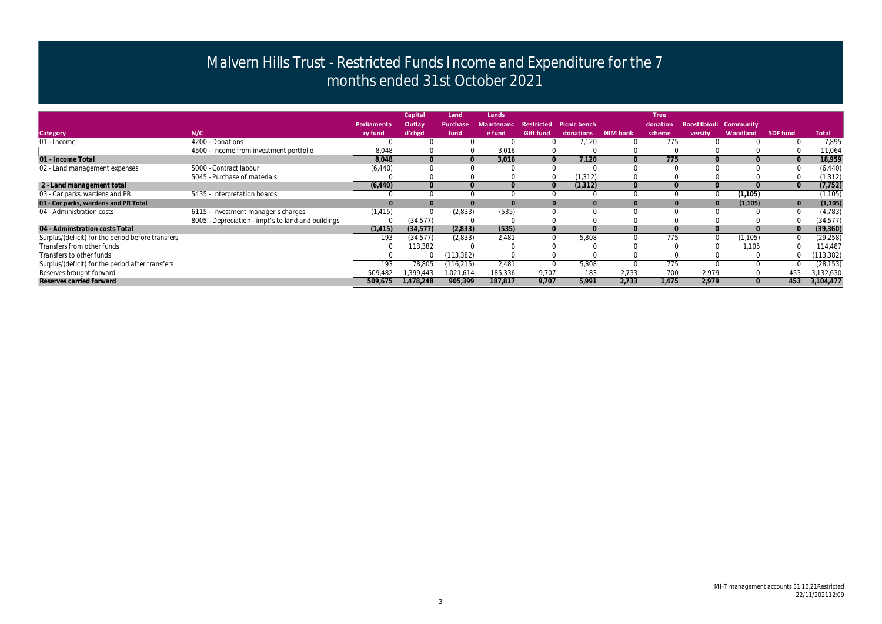# **Boost4biodi Community versity Woodland SDF fund Total**<br>0 0 7,895

|                                                   |                                                    |             | <b>Capital</b> | Land            | Lands             |                  |                         |                 | <b>Tree</b> |          |                       |                 |              |
|---------------------------------------------------|----------------------------------------------------|-------------|----------------|-----------------|-------------------|------------------|-------------------------|-----------------|-------------|----------|-----------------------|-----------------|--------------|
|                                                   |                                                    | Parliamenta | Outlay         | <b>Purchase</b> | <b>Maintenanc</b> |                  | Restricted Picnic bench |                 | donation    |          | Boost4biodi Community |                 |              |
| <b>Category</b>                                   | N/C                                                | ry fund     | d'chgd         | fund            | e fund            | <b>Gift fund</b> | donations               | <b>NIM book</b> | scheme      | versity  | Woodland              | <b>SDF fund</b> | <b>Total</b> |
| 01 - Income                                       | 4200 - Donations                                   |             |                |                 |                   |                  | 7,120                   |                 | 775         |          |                       |                 | 7,895        |
|                                                   | 4500 - Income from investment portfolio            | 8,048       |                |                 | 3,016             |                  |                         |                 |             |          |                       |                 | 11,064       |
| 01 - Income Total                                 |                                                    | 8,048       | $\overline{0}$ | $\overline{0}$  | 3,016             | $\overline{0}$   | 7,120                   |                 | 775         |          |                       |                 | 18,959       |
| 02 - Land management expenses                     | 5000 - Contract labour                             | (6, 440)    |                |                 |                   |                  |                         |                 |             |          |                       |                 | (6, 440)     |
|                                                   | 5045 - Purchase of materials                       |             |                |                 |                   |                  | (1, 312)                |                 |             |          |                       |                 | (1, 312)     |
| 2 - Land management total                         |                                                    | (6, 440)    |                |                 |                   | $\Omega$         | (1, 312)                |                 |             |          |                       |                 | (7, 752)     |
| 03 - Car parks, wardens and PR                    | 5435 - Interpretation boards                       |             |                |                 |                   |                  |                         |                 |             |          | (1, 105)              |                 | (1, 105)     |
| 03 - Car parks, wardens and PR Total              |                                                    |             |                |                 | $\bf{0}$          |                  |                         |                 |             | $\bf{0}$ | (1, 105)              |                 | (1, 105)     |
| 04 - Administration costs                         | 6115 - Investment manager's charges                | (1, 415)    |                | (2,833)         | (535)             |                  |                         |                 |             |          |                       |                 | (4, 783)     |
|                                                   | 8005 - Depreciation - impt's to land and buildings |             | (34, 577)      |                 |                   |                  |                         |                 |             |          |                       |                 | (34, 577)    |
| 04 - Adminstration costs Total                    |                                                    | (1, 415)    | (34,577)       | (2,833)         | (535)             | $\overline{0}$   |                         |                 |             |          |                       |                 | (39, 360)    |
| Surplus/(deficit) for the period before transfers |                                                    | 193         | (34,577)       | (2,833)         | 2,481             | $\Omega$         | 5,808                   |                 | 775         |          | 1,105                 |                 | (29, 258)    |
| Transfers from other funds                        |                                                    |             | 113,382        |                 |                   |                  |                         |                 |             |          | 1,105                 |                 | 114,487      |
| Transfers to other funds                          |                                                    |             |                | (113, 382)      |                   |                  |                         |                 |             |          |                       |                 | 113,382)     |
| Surplus/(deficit) for the period after transfers  |                                                    | 193         | 78,805         | (116, 215)      | 2,481             |                  | 5,808                   |                 | 775         |          |                       |                 | (28, 153)    |
| Reserves brought forward                          |                                                    | 509,482     | .399.443       | 1,021,614       | 185,336           | 9,707            | 183                     | 2.733           | 70C         | 2,979    |                       | 453             | 3,132,630    |
| Reserves carried forward                          |                                                    | 509,675     | 1,478,248      | 905,399         | 187,817           | 9,707            | 5,991                   | 2,733           | 1.475       | 2.979    |                       | 453             | 3,104,477    |

## Malvern Hills Trust - Restricted Funds Income and Expenditure for the 7 months ended 31st October 2021